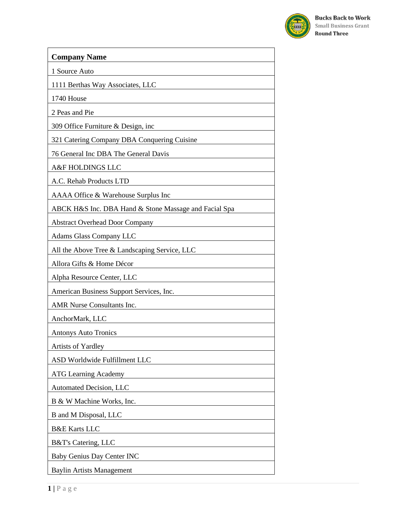

| <b>Company Name</b>                                   |
|-------------------------------------------------------|
| 1 Source Auto                                         |
| 1111 Berthas Way Associates, LLC                      |
| 1740 House                                            |
| 2 Peas and Pie                                        |
| 309 Office Furniture & Design, inc                    |
| 321 Catering Company DBA Conquering Cuisine           |
| 76 General Inc DBA The General Davis                  |
| A&F HOLDINGS LLC                                      |
| A.C. Rehab Products LTD                               |
| AAAA Office & Warehouse Surplus Inc                   |
| ABCK H&S Inc. DBA Hand & Stone Massage and Facial Spa |
| <b>Abstract Overhead Door Company</b>                 |
| <b>Adams Glass Company LLC</b>                        |
| All the Above Tree & Landscaping Service, LLC         |
| Allora Gifts & Home Décor                             |
| Alpha Resource Center, LLC                            |
| American Business Support Services, Inc.              |
| AMR Nurse Consultants Inc.                            |
| AnchorMark, LLC                                       |
| <b>Antonys Auto Tronics</b>                           |
| Artists of Yardley                                    |
| ASD Worldwide Fulfillment LLC                         |
| <b>ATG Learning Academy</b>                           |
| Automated Decision, LLC                               |
| B & W Machine Works, Inc.                             |
| B and M Disposal, LLC                                 |
| <b>B&amp;E</b> Karts LLC                              |
| B&T's Catering, LLC                                   |
| <b>Baby Genius Day Center INC</b>                     |
| <b>Baylin Artists Management</b>                      |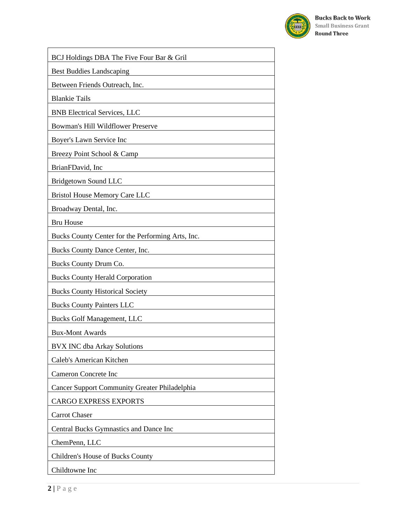

| BCJ Holdings DBA The Five Four Bar & Gril            |
|------------------------------------------------------|
| <b>Best Buddies Landscaping</b>                      |
| Between Friends Outreach, Inc.                       |
| <b>Blankie Tails</b>                                 |
| <b>BNB</b> Electrical Services, LLC                  |
| Bowman's Hill Wildflower Preserve                    |
| Boyer's Lawn Service Inc                             |
| Breezy Point School & Camp                           |
| BrianFDavid, Inc                                     |
| Bridgetown Sound LLC                                 |
| <b>Bristol House Memory Care LLC</b>                 |
| Broadway Dental, Inc.                                |
| <b>Bru House</b>                                     |
| Bucks County Center for the Performing Arts, Inc.    |
| Bucks County Dance Center, Inc.                      |
| Bucks County Drum Co.                                |
| <b>Bucks County Herald Corporation</b>               |
| <b>Bucks County Historical Society</b>               |
| <b>Bucks County Painters LLC</b>                     |
| <b>Bucks Golf Management, LLC</b>                    |
| <b>Bux-Mont Awards</b>                               |
| <b>BVX INC dba Arkay Solutions</b>                   |
| Caleb's American Kitchen                             |
| <b>Cameron Concrete Inc</b>                          |
| <b>Cancer Support Community Greater Philadelphia</b> |
| <b>CARGO EXPRESS EXPORTS</b>                         |
| <b>Carrot Chaser</b>                                 |
| Central Bucks Gymnastics and Dance Inc               |
| ChemPenn, LLC                                        |
| Children's House of Bucks County                     |
| Childtowne Inc                                       |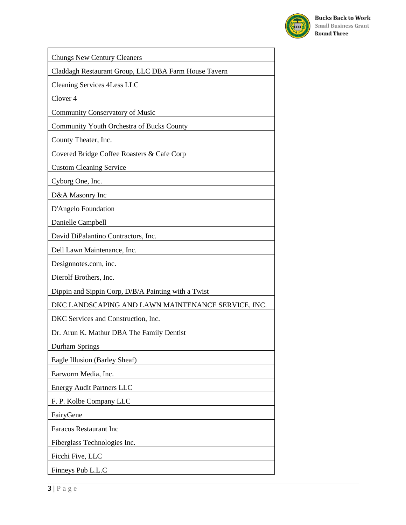

| <b>Chungs New Century Cleaners</b>                   |
|------------------------------------------------------|
| Claddagh Restaurant Group, LLC DBA Farm House Tavern |
| <b>Cleaning Services 4Less LLC</b>                   |
| Clover <sub>4</sub>                                  |
| <b>Community Conservatory of Music</b>               |
| Community Youth Orchestra of Bucks County            |
| County Theater, Inc.                                 |
| Covered Bridge Coffee Roasters & Cafe Corp           |
| <b>Custom Cleaning Service</b>                       |
| Cyborg One, Inc.                                     |
| D&A Masonry Inc                                      |
| D'Angelo Foundation                                  |
| Danielle Campbell                                    |
| David DiPalantino Contractors, Inc.                  |
| Dell Lawn Maintenance, Inc.                          |
| Designnotes.com, inc.                                |
| Dierolf Brothers, Inc.                               |
| Dippin and Sippin Corp, D/B/A Painting with a Twist  |
| DKC LANDSCAPING AND LAWN MAINTENANCE SERVICE, INC.   |
| DKC Services and Construction, Inc.                  |
| Dr. Arun K. Mathur DBA The Family Dentist            |
| Durham Springs                                       |
| Eagle Illusion (Barley Sheaf)                        |
| Earworm Media, Inc.                                  |
| <b>Energy Audit Partners LLC</b>                     |
| F. P. Kolbe Company LLC                              |
| FairyGene                                            |
| <b>Faracos Restaurant Inc</b>                        |
| Fiberglass Technologies Inc.                         |
| Ficchi Five, LLC                                     |
| Finneys Pub L.L.C                                    |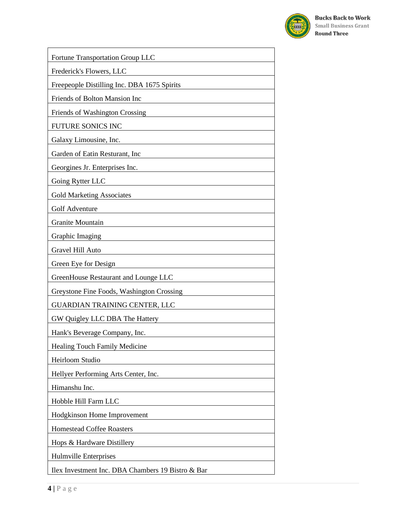

| Fortune Transportation Group LLC                  |
|---------------------------------------------------|
| Frederick's Flowers, LLC                          |
| Freepeople Distilling Inc. DBA 1675 Spirits       |
| Friends of Bolton Mansion Inc                     |
| Friends of Washington Crossing                    |
| FUTURE SONICS INC                                 |
| Galaxy Limousine, Inc.                            |
| Garden of Eatin Resturant, Inc                    |
| Georgines Jr. Enterprises Inc.                    |
| Going Rytter LLC                                  |
| <b>Gold Marketing Associates</b>                  |
| <b>Golf Adventure</b>                             |
| <b>Granite Mountain</b>                           |
| Graphic Imaging                                   |
| Gravel Hill Auto                                  |
| Green Eye for Design                              |
| GreenHouse Restaurant and Lounge LLC              |
| Greystone Fine Foods, Washington Crossing         |
| <b>GUARDIAN TRAINING CENTER, LLC</b>              |
| GW Quigley LLC DBA The Hattery                    |
| Hank's Beverage Company, Inc.                     |
| Healing Touch Family Medicine                     |
| Heirloom Studio                                   |
| Hellyer Performing Arts Center, Inc.              |
| Himanshu Inc.                                     |
| Hobble Hill Farm LLC                              |
| Hodgkinson Home Improvement                       |
| <b>Homestead Coffee Roasters</b>                  |
| Hops & Hardware Distillery                        |
| Hulmville Enterprises                             |
| Ilex Investment Inc. DBA Chambers 19 Bistro & Bar |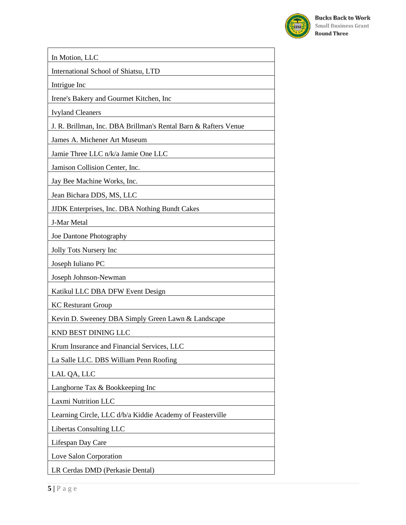

In Motion, LLC International School of Shiatsu, LTD Intrigue Inc Irene's Bakery and Gourmet Kitchen, Inc Ivyland Cleaners J. R. Brillman, Inc. DBA Brillman's Rental Barn & Rafters Venue James A. Michener Art Museum Jamie Three LLC n/k/a Jamie One LLC Jamison Collision Center, Inc. Jay Bee Machine Works, Inc. Jean Bichara DDS, MS, LLC JJDK Enterprises, Inc. DBA Nothing Bundt Cakes J-Mar Metal Joe Dantone Photography Jolly Tots Nursery Inc Joseph Iuliano PC Joseph Johnson-Newman Katikul LLC DBA DFW Event Design KC Resturant Group Kevin D. Sweeney DBA Simply Green Lawn & Landscape KND BEST DINING LLC Krum Insurance and Financial Services, LLC La Salle LLC. DBS William Penn Roofing LAL QA, LLC Langhorne Tax & Bookkeeping Inc Laxmi Nutrition LLC Learning Circle, LLC d/b/a Kiddie Academy of Feasterville Libertas Consulting LLC Lifespan Day Care Love Salon Corporation LR Cerdas DMD (Perkasie Dental)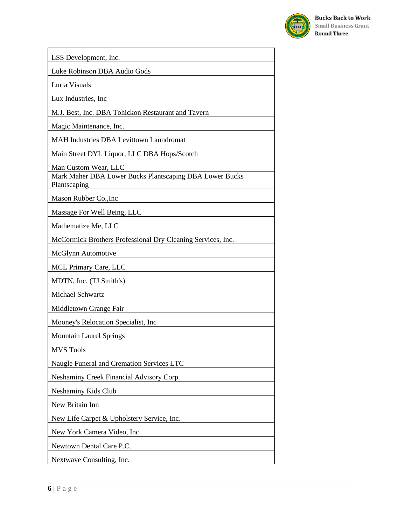

| LSS Development, Inc.                                                   |
|-------------------------------------------------------------------------|
| Luke Robinson DBA Audio Gods                                            |
| Luria Visuals                                                           |
| Lux Industries, Inc.                                                    |
| M.J. Best, Inc. DBA Tohickon Restaurant and Tavern                      |
| Magic Maintenance, Inc.                                                 |
| <b>MAH Industries DBA Levittown Laundromat</b>                          |
| Main Street DYL Liquor, LLC DBA Hops/Scotch                             |
| Man Custom Wear, LLC                                                    |
| Mark Maher DBA Lower Bucks Plantscaping DBA Lower Bucks<br>Plantscaping |
| Mason Rubber Co., Inc.                                                  |
| Massage For Well Being, LLC                                             |
| Mathematize Me, LLC                                                     |
| McCormick Brothers Professional Dry Cleaning Services, Inc.             |
| McGlynn Automotive                                                      |
| MCL Primary Care, LLC                                                   |
| MDTN, Inc. (TJ Smith's)                                                 |
| Michael Schwartz                                                        |
| Middletown Grange Fair                                                  |
| Mooney's Relocation Specialist, Inc.                                    |
| <b>Mountain Laurel Springs</b>                                          |
| <b>MVS Tools</b>                                                        |
| Naugle Funeral and Cremation Services LTC                               |
| Neshaminy Creek Financial Advisory Corp.                                |
| Neshaminy Kids Club                                                     |
| New Britain Inn                                                         |
| New Life Carpet & Upholstery Service, Inc.                              |
| New York Camera Video, Inc.                                             |
| Newtown Dental Care P.C.                                                |
| Nextwave Consulting, Inc.                                               |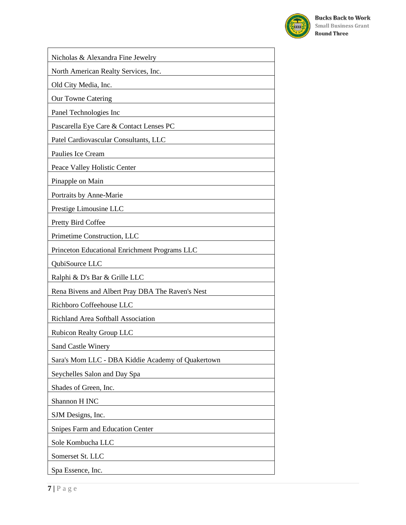

| Nicholas & Alexandra Fine Jewelry                              |
|----------------------------------------------------------------|
| North American Realty Services, Inc.                           |
| Old City Media, Inc.                                           |
| Our Towne Catering                                             |
| Panel Technologies Inc                                         |
| Pascarella Eye Care & Contact Lenses PC                        |
| Patel Cardiovascular Consultants, LLC                          |
| Paulies Ice Cream                                              |
| Peace Valley Holistic Center                                   |
| Pinapple on Main                                               |
| Portraits by Anne-Marie                                        |
| Prestige Limousine LLC                                         |
| Pretty Bird Coffee                                             |
| Primetime Construction, LLC                                    |
| Princeton Educational Enrichment Programs LLC                  |
| QubiSource LLC                                                 |
| Ralphi & D's Bar & Grille LLC                                  |
| Rena Bivens and Albert Pray DBA The Raven's Nest               |
| Richboro Coffeehouse LLC                                       |
| Richland Area Softball Association                             |
| <b>Rubicon Realty Group LLC</b>                                |
| <b>Sand Castle Winery</b>                                      |
| Sara's Mom LLC - DBA Kiddie Academy of Quakertown              |
| Seychelles Salon and Day Spa                                   |
| Shades of Green, Inc.                                          |
| Shannon H INC                                                  |
| SJM Designs, Inc.<br><u>and the community of the community</u> |
| Snipes Farm and Education Center                               |
| Sole Kombucha LLC                                              |
| Somerset St. LLC                                               |
| Spa Essence, Inc.                                              |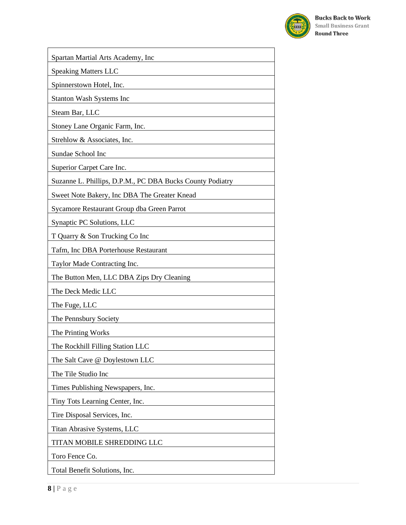

| Spartan Martial Arts Academy, Inc                         |
|-----------------------------------------------------------|
| <b>Speaking Matters LLC</b>                               |
| Spinnerstown Hotel, Inc.                                  |
| <b>Stanton Wash Systems Inc</b>                           |
| Steam Bar, LLC                                            |
| Stoney Lane Organic Farm, Inc.                            |
| Strehlow & Associates, Inc.                               |
| Sundae School Inc                                         |
| Superior Carpet Care Inc.                                 |
| Suzanne L. Phillips, D.P.M., PC DBA Bucks County Podiatry |
| Sweet Note Bakery, Inc DBA The Greater Knead              |
| Sycamore Restaurant Group dba Green Parrot                |
| Synaptic PC Solutions, LLC                                |
| T Quarry & Son Trucking Co Inc                            |
| Tafm, Inc DBA Porterhouse Restaurant                      |
| Taylor Made Contracting Inc.                              |
| The Button Men, LLC DBA Zips Dry Cleaning                 |
| The Deck Medic LLC                                        |
| The Fuge, LLC                                             |
| The Pennsbury Society                                     |
| The Printing Works                                        |
| The Rockhill Filling Station LLC                          |
| The Salt Cave @ Doylestown LLC                            |
| The Tile Studio Inc                                       |
| Times Publishing Newspapers, Inc.                         |
| Tiny Tots Learning Center, Inc.                           |
| Tire Disposal Services, Inc.                              |
| Titan Abrasive Systems, LLC                               |
| TITAN MOBILE SHREDDING LLC                                |
| Toro Fence Co.                                            |
| Total Benefit Solutions, Inc.                             |